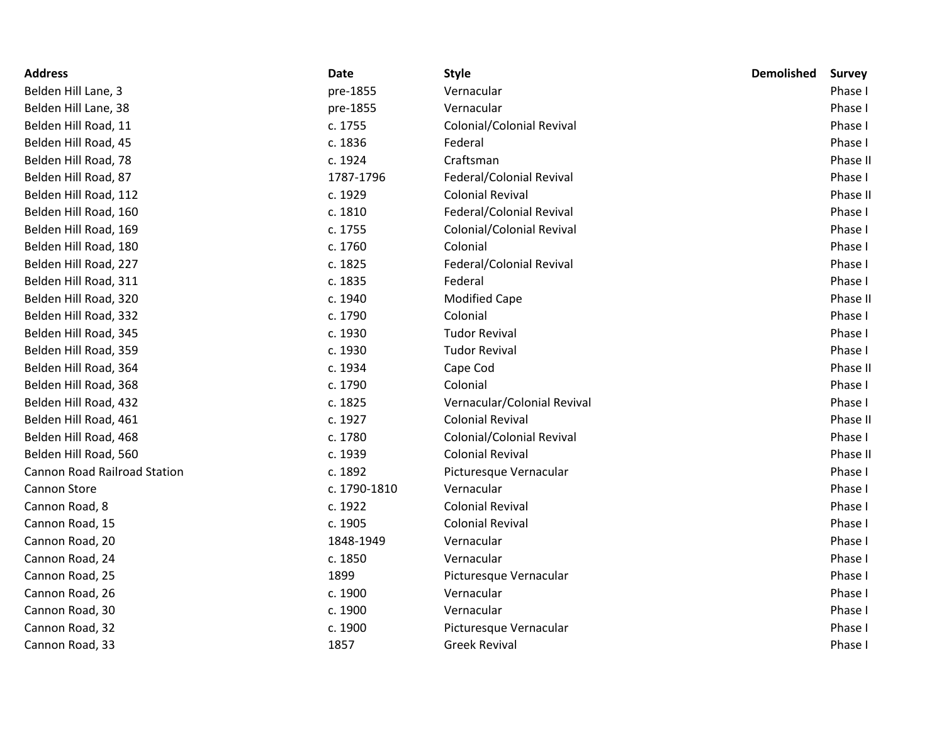| <b>Address</b>                      | Date         | <b>Style</b>                     | <b>Demolished</b> | <b>Survey</b> |
|-------------------------------------|--------------|----------------------------------|-------------------|---------------|
| Belden Hill Lane, 3                 | pre-1855     | Vernacular                       |                   | Phase I       |
| Belden Hill Lane, 38                | pre-1855     | Vernacular                       |                   | Phase I       |
| Belden Hill Road, 11                | c. 1755      | Colonial/Colonial Revival        |                   | Phase I       |
| Belden Hill Road, 45                | c. 1836      | Federal                          |                   | Phase I       |
| Belden Hill Road, 78                | c. 1924      | Craftsman                        |                   | Phase II      |
| Belden Hill Road, 87                | 1787-1796    | Federal/Colonial Revival         |                   | Phase I       |
| Belden Hill Road, 112               | c. 1929      | <b>Colonial Revival</b>          |                   | Phase II      |
| Belden Hill Road, 160               | c. 1810      | Federal/Colonial Revival         |                   | Phase I       |
| Belden Hill Road, 169               | c. 1755      | Colonial/Colonial Revival        |                   | Phase I       |
| Belden Hill Road, 180               | c. 1760      | Colonial                         |                   | Phase I       |
| Belden Hill Road, 227               | c. 1825      | Federal/Colonial Revival         |                   | Phase I       |
| Belden Hill Road, 311               | c. 1835      | Federal                          |                   | Phase I       |
| Belden Hill Road, 320               | c. 1940      | <b>Modified Cape</b>             |                   | Phase II      |
| Belden Hill Road, 332               | c. 1790      | Colonial                         |                   | Phase I       |
| Belden Hill Road, 345               | c. 1930      | <b>Tudor Revival</b>             |                   | Phase I       |
| Belden Hill Road, 359               | c. 1930      | <b>Tudor Revival</b>             |                   | Phase I       |
| Belden Hill Road, 364               | c. 1934      | Cape Cod                         |                   | Phase II      |
| Belden Hill Road, 368               | c. 1790      | Colonial                         |                   | Phase I       |
| Belden Hill Road, 432               | c. 1825      | Vernacular/Colonial Revival      |                   | Phase I       |
| Belden Hill Road, 461               | c. 1927      | <b>Colonial Revival</b>          |                   | Phase II      |
| Belden Hill Road, 468               | c. 1780      | <b>Colonial/Colonial Revival</b> |                   | Phase I       |
| Belden Hill Road, 560               | c. 1939      | <b>Colonial Revival</b>          |                   | Phase II      |
| <b>Cannon Road Railroad Station</b> | c. 1892      | Picturesque Vernacular           |                   | Phase I       |
| Cannon Store                        | c. 1790-1810 | Vernacular                       |                   | Phase I       |
| Cannon Road, 8                      | c. 1922      | <b>Colonial Revival</b>          |                   | Phase I       |
| Cannon Road, 15                     | c. 1905      | <b>Colonial Revival</b>          |                   | Phase I       |
| Cannon Road, 20                     | 1848-1949    | Vernacular                       |                   | Phase I       |
| Cannon Road, 24                     | c. 1850      | Vernacular                       |                   | Phase I       |
| Cannon Road, 25                     | 1899         | Picturesque Vernacular           |                   | Phase I       |
| Cannon Road, 26                     | c. 1900      | Vernacular                       |                   | Phase I       |
| Cannon Road, 30                     | c. 1900      | Vernacular                       |                   | Phase I       |
| Cannon Road, 32                     | c. 1900      | Picturesque Vernacular           |                   | Phase I       |
| Cannon Road, 33                     | 1857         | <b>Greek Revival</b>             |                   | Phase I       |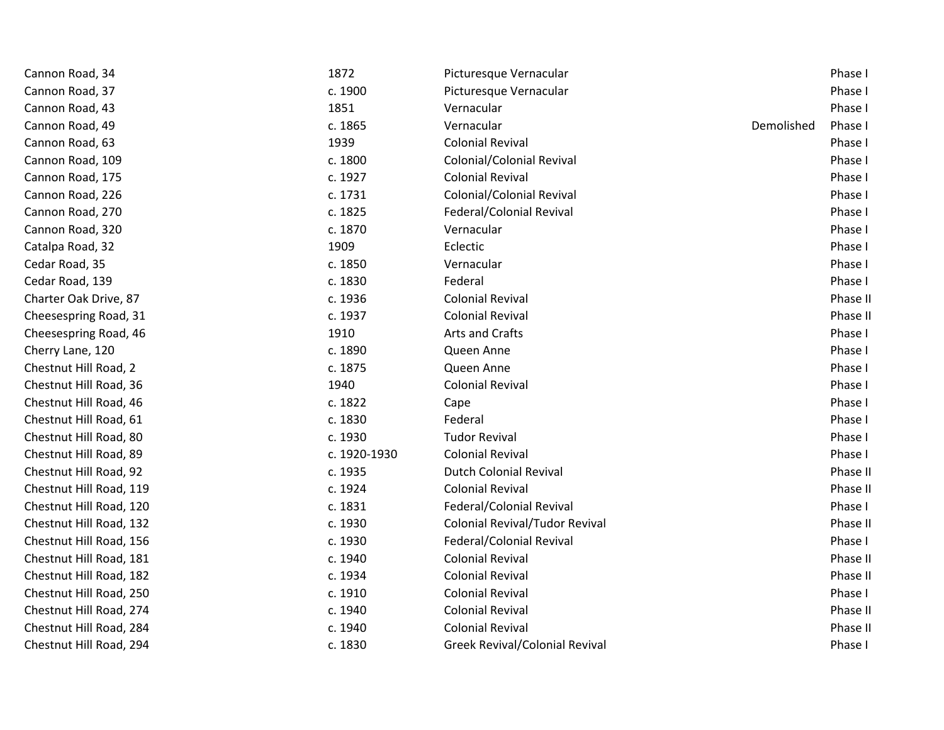| Cannon Road, 34         | 1872         | Picturesque Vernacular                |            | Phase I  |
|-------------------------|--------------|---------------------------------------|------------|----------|
| Cannon Road, 37         | c. 1900      | Picturesque Vernacular                |            | Phase I  |
| Cannon Road, 43         | 1851         | Vernacular                            |            | Phase I  |
| Cannon Road, 49         | c. 1865      | Vernacular                            | Demolished | Phase I  |
| Cannon Road, 63         | 1939         | <b>Colonial Revival</b>               |            | Phase I  |
| Cannon Road, 109        | c. 1800      | Colonial/Colonial Revival             |            | Phase I  |
| Cannon Road, 175        | c. 1927      | <b>Colonial Revival</b>               |            | Phase I  |
| Cannon Road, 226        | c. 1731      | Colonial/Colonial Revival             |            | Phase I  |
| Cannon Road, 270        | c. 1825      | Federal/Colonial Revival              |            | Phase I  |
| Cannon Road, 320        | c. 1870      | Vernacular                            |            | Phase I  |
| Catalpa Road, 32        | 1909         | Eclectic                              |            | Phase I  |
| Cedar Road, 35          | c. 1850      | Vernacular                            |            | Phase I  |
| Cedar Road, 139         | c. 1830      | Federal                               |            | Phase I  |
| Charter Oak Drive, 87   | c. 1936      | <b>Colonial Revival</b>               |            | Phase II |
| Cheesespring Road, 31   | c. 1937      | <b>Colonial Revival</b>               |            | Phase II |
| Cheesespring Road, 46   | 1910         | Arts and Crafts                       |            | Phase I  |
| Cherry Lane, 120        | c. 1890      | Queen Anne                            |            | Phase I  |
| Chestnut Hill Road, 2   | c. 1875      | Queen Anne                            |            | Phase I  |
| Chestnut Hill Road, 36  | 1940         | <b>Colonial Revival</b>               |            | Phase I  |
| Chestnut Hill Road, 46  | c. 1822      | Cape                                  |            | Phase I  |
| Chestnut Hill Road, 61  | c. 1830      | Federal                               |            | Phase I  |
| Chestnut Hill Road, 80  | c. 1930      | <b>Tudor Revival</b>                  |            | Phase I  |
| Chestnut Hill Road, 89  | c. 1920-1930 | <b>Colonial Revival</b>               |            | Phase I  |
| Chestnut Hill Road, 92  | c. 1935      | <b>Dutch Colonial Revival</b>         |            | Phase II |
| Chestnut Hill Road, 119 | c. 1924      | <b>Colonial Revival</b>               |            | Phase II |
| Chestnut Hill Road, 120 | c. 1831      | Federal/Colonial Revival              |            | Phase I  |
| Chestnut Hill Road, 132 | c. 1930      | <b>Colonial Revival/Tudor Revival</b> |            | Phase II |
| Chestnut Hill Road, 156 | c. 1930      | Federal/Colonial Revival              |            | Phase I  |
| Chestnut Hill Road, 181 | c. 1940      | <b>Colonial Revival</b>               |            | Phase II |
| Chestnut Hill Road, 182 | c. 1934      | <b>Colonial Revival</b>               |            | Phase II |
| Chestnut Hill Road, 250 | c. 1910      | <b>Colonial Revival</b>               |            | Phase I  |
| Chestnut Hill Road, 274 | c. 1940      | <b>Colonial Revival</b>               |            | Phase II |
| Chestnut Hill Road, 284 | c. 1940      | <b>Colonial Revival</b>               |            | Phase II |
| Chestnut Hill Road, 294 | c. 1830      | <b>Greek Revival/Colonial Revival</b> |            | Phase I  |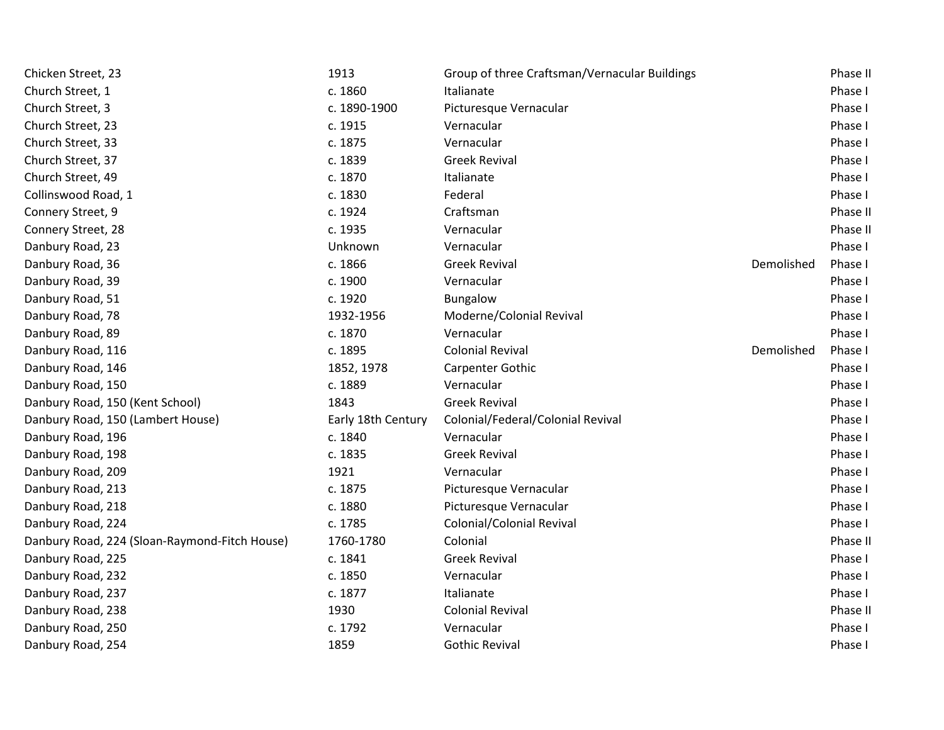| Chicken Street, 23                            | 1913               | Group of three Craftsman/Vernacular Buildings |            | Phase II |
|-----------------------------------------------|--------------------|-----------------------------------------------|------------|----------|
| Church Street, 1                              | c. 1860            | Italianate                                    |            | Phase I  |
| Church Street, 3                              | c. 1890-1900       | Picturesque Vernacular                        |            | Phase I  |
| Church Street, 23                             | c. 1915            | Vernacular                                    |            | Phase I  |
| Church Street, 33                             | c. 1875            | Vernacular                                    |            | Phase I  |
| Church Street, 37                             | c. 1839            | <b>Greek Revival</b>                          |            | Phase I  |
| Church Street, 49                             | c. 1870            | Italianate                                    |            | Phase I  |
| Collinswood Road, 1                           | c. 1830            | Federal                                       |            | Phase I  |
| Connery Street, 9                             | c. 1924            | Craftsman                                     |            | Phase II |
| Connery Street, 28                            | c. 1935            | Vernacular                                    |            | Phase II |
| Danbury Road, 23                              | Unknown            | Vernacular                                    |            | Phase I  |
| Danbury Road, 36                              | c. 1866            | <b>Greek Revival</b>                          | Demolished | Phase I  |
| Danbury Road, 39                              | c. 1900            | Vernacular                                    |            | Phase I  |
| Danbury Road, 51                              | c. 1920            | Bungalow                                      |            | Phase I  |
| Danbury Road, 78                              | 1932-1956          | Moderne/Colonial Revival                      |            | Phase I  |
| Danbury Road, 89                              | c. 1870            | Vernacular                                    |            | Phase I  |
| Danbury Road, 116                             | c. 1895            | <b>Colonial Revival</b>                       | Demolished | Phase I  |
| Danbury Road, 146                             | 1852, 1978         | Carpenter Gothic                              |            | Phase I  |
| Danbury Road, 150                             | c. 1889            | Vernacular                                    |            | Phase I  |
| Danbury Road, 150 (Kent School)               | 1843               | <b>Greek Revival</b>                          |            | Phase I  |
| Danbury Road, 150 (Lambert House)             | Early 18th Century | Colonial/Federal/Colonial Revival             |            | Phase I  |
| Danbury Road, 196                             | c. 1840            | Vernacular                                    |            | Phase I  |
| Danbury Road, 198                             | c. 1835            | <b>Greek Revival</b>                          |            | Phase I  |
| Danbury Road, 209                             | 1921               | Vernacular                                    |            | Phase I  |
| Danbury Road, 213                             | c. 1875            | Picturesque Vernacular                        |            | Phase I  |
| Danbury Road, 218                             | c. 1880            | Picturesque Vernacular                        |            | Phase I  |
| Danbury Road, 224                             | c. 1785            | Colonial/Colonial Revival                     |            | Phase I  |
| Danbury Road, 224 (Sloan-Raymond-Fitch House) | 1760-1780          | Colonial                                      |            | Phase II |
| Danbury Road, 225                             | c. 1841            | <b>Greek Revival</b>                          |            | Phase I  |
| Danbury Road, 232                             | c. 1850            | Vernacular                                    |            | Phase I  |
| Danbury Road, 237                             | c. 1877            | Italianate                                    |            | Phase I  |
| Danbury Road, 238                             | 1930               | <b>Colonial Revival</b>                       |            | Phase II |
| Danbury Road, 250                             | c. 1792            | Vernacular                                    |            | Phase I  |
| Danbury Road, 254                             | 1859               | <b>Gothic Revival</b>                         |            | Phase I  |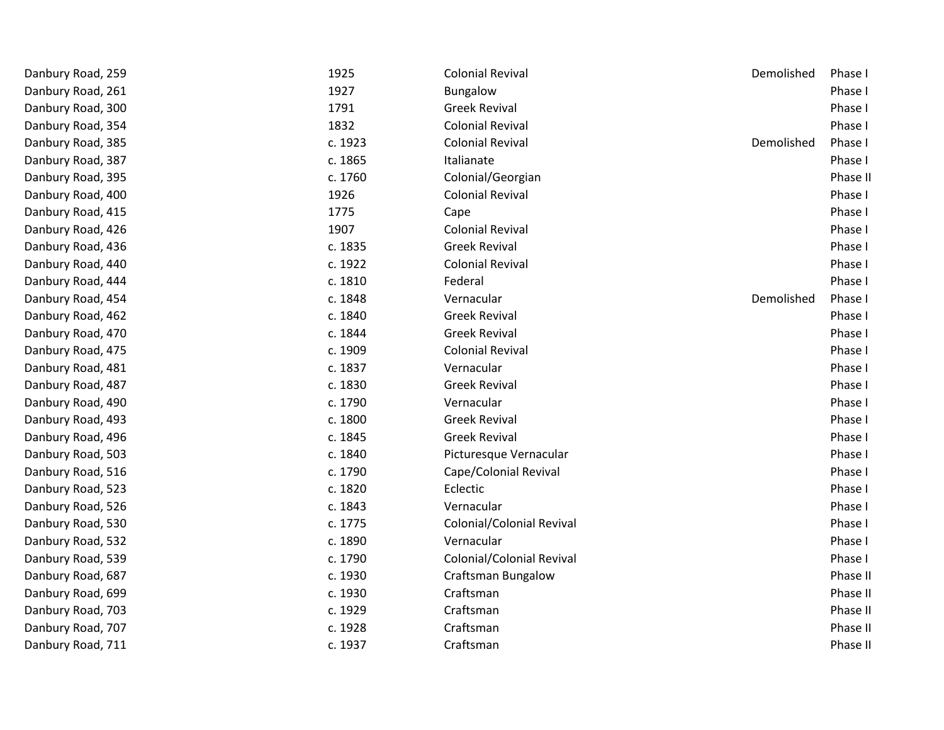| Danbury Road, 259 | 1925    | <b>Colonial Revival</b>   | Demolished | Phase I  |
|-------------------|---------|---------------------------|------------|----------|
| Danbury Road, 261 | 1927    | <b>Bungalow</b>           |            | Phase I  |
| Danbury Road, 300 | 1791    | <b>Greek Revival</b>      |            | Phase I  |
| Danbury Road, 354 | 1832    | <b>Colonial Revival</b>   |            | Phase I  |
| Danbury Road, 385 | c. 1923 | <b>Colonial Revival</b>   | Demolished | Phase I  |
| Danbury Road, 387 | c. 1865 | Italianate                |            | Phase I  |
| Danbury Road, 395 | c. 1760 | Colonial/Georgian         |            | Phase II |
| Danbury Road, 400 | 1926    | <b>Colonial Revival</b>   |            | Phase I  |
| Danbury Road, 415 | 1775    | Cape                      |            | Phase I  |
| Danbury Road, 426 | 1907    | <b>Colonial Revival</b>   |            | Phase I  |
| Danbury Road, 436 | c. 1835 | <b>Greek Revival</b>      |            | Phase I  |
| Danbury Road, 440 | c. 1922 | <b>Colonial Revival</b>   |            | Phase I  |
| Danbury Road, 444 | c. 1810 | Federal                   |            | Phase I  |
| Danbury Road, 454 | c. 1848 | Vernacular                | Demolished | Phase I  |
| Danbury Road, 462 | c. 1840 | <b>Greek Revival</b>      |            | Phase I  |
| Danbury Road, 470 | c. 1844 | <b>Greek Revival</b>      |            | Phase I  |
| Danbury Road, 475 | c. 1909 | <b>Colonial Revival</b>   |            | Phase I  |
| Danbury Road, 481 | c. 1837 | Vernacular                |            | Phase I  |
| Danbury Road, 487 | c. 1830 | <b>Greek Revival</b>      |            | Phase I  |
| Danbury Road, 490 | c. 1790 | Vernacular                |            | Phase I  |
| Danbury Road, 493 | c. 1800 | <b>Greek Revival</b>      |            | Phase I  |
| Danbury Road, 496 | c. 1845 | <b>Greek Revival</b>      |            | Phase I  |
| Danbury Road, 503 | c. 1840 | Picturesque Vernacular    |            | Phase I  |
| Danbury Road, 516 | c. 1790 | Cape/Colonial Revival     |            | Phase I  |
| Danbury Road, 523 | c. 1820 | Eclectic                  |            | Phase I  |
| Danbury Road, 526 | c. 1843 | Vernacular                |            | Phase I  |
| Danbury Road, 530 | c. 1775 | Colonial/Colonial Revival |            | Phase I  |
| Danbury Road, 532 | c. 1890 | Vernacular                |            | Phase I  |
| Danbury Road, 539 | c. 1790 | Colonial/Colonial Revival |            | Phase I  |
| Danbury Road, 687 | c. 1930 | <b>Craftsman Bungalow</b> |            | Phase II |
| Danbury Road, 699 | c. 1930 | Craftsman                 |            | Phase II |
| Danbury Road, 703 | c. 1929 | Craftsman                 |            | Phase II |
| Danbury Road, 707 | c. 1928 | Craftsman                 |            | Phase II |
| Danbury Road, 711 | c. 1937 | Craftsman                 |            | Phase II |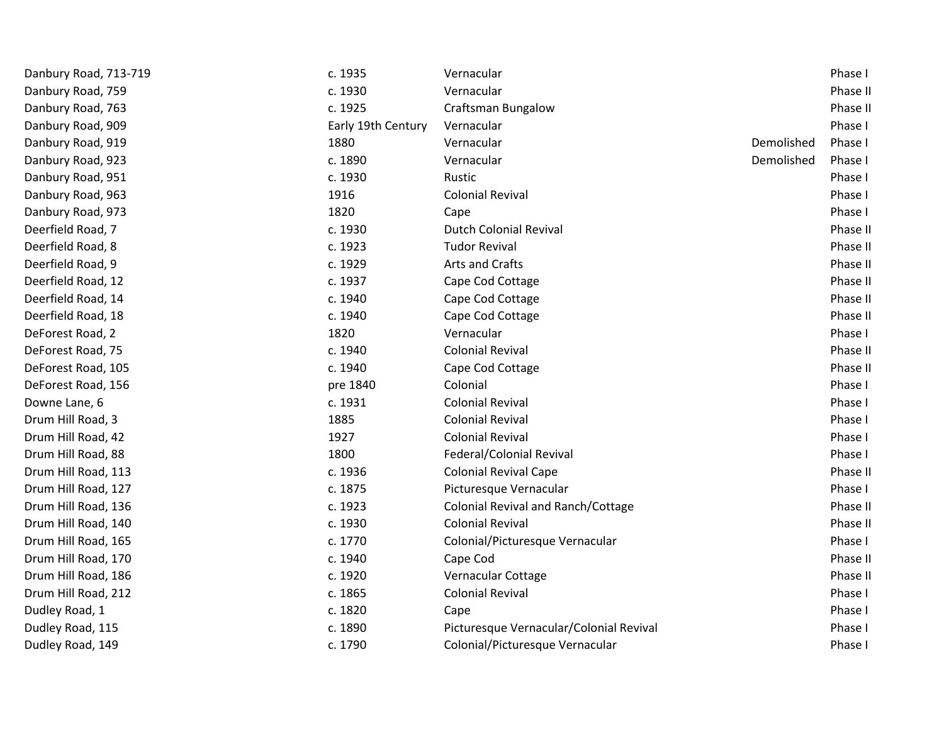| c. 1935            | Vernacular                              |            | Phase I  |
|--------------------|-----------------------------------------|------------|----------|
| c. 1930            | Vernacular                              |            | Phase II |
| c. 1925            | <b>Craftsman Bungalow</b>               |            | Phase II |
| Early 19th Century | Vernacular                              |            | Phase I  |
| 1880               | Vernacular                              | Demolished | Phase I  |
| c. 1890            | Vernacular                              | Demolished | Phase I  |
| c. 1930            | Rustic                                  |            | Phase I  |
| 1916               | <b>Colonial Revival</b>                 |            | Phase I  |
| 1820               | Cape                                    |            | Phase I  |
| c. 1930            | <b>Dutch Colonial Revival</b>           |            | Phase II |
| c. 1923            | <b>Tudor Revival</b>                    |            | Phase II |
| c. 1929            | Arts and Crafts                         |            | Phase II |
| c. 1937            | Cape Cod Cottage                        |            | Phase II |
| c. 1940            | Cape Cod Cottage                        |            | Phase II |
| c. 1940            | Cape Cod Cottage                        |            | Phase II |
| 1820               | Vernacular                              |            | Phase I  |
| c. 1940            | <b>Colonial Revival</b>                 |            | Phase II |
| c. 1940            | Cape Cod Cottage                        |            | Phase II |
| pre 1840           | Colonial                                |            | Phase I  |
| c. 1931            | <b>Colonial Revival</b>                 |            | Phase I  |
| 1885               | <b>Colonial Revival</b>                 |            | Phase I  |
| 1927               | <b>Colonial Revival</b>                 |            | Phase I  |
| 1800               | Federal/Colonial Revival                |            | Phase I  |
| c. 1936            | <b>Colonial Revival Cape</b>            |            | Phase II |
| c. 1875            | Picturesque Vernacular                  |            | Phase I  |
| c. 1923            | Colonial Revival and Ranch/Cottage      |            | Phase II |
| c. 1930            | <b>Colonial Revival</b>                 |            | Phase II |
| c. 1770            | Colonial/Picturesque Vernacular         |            | Phase I  |
| c. 1940            | Cape Cod                                |            | Phase II |
| c. 1920            | Vernacular Cottage                      |            | Phase II |
| c. 1865            | <b>Colonial Revival</b>                 |            | Phase I  |
| c. 1820            | Cape                                    |            | Phase I  |
| c. 1890            | Picturesque Vernacular/Colonial Revival |            | Phase I  |
| c. 1790            | Colonial/Picturesque Vernacular         |            | Phase I  |
|                    |                                         |            |          |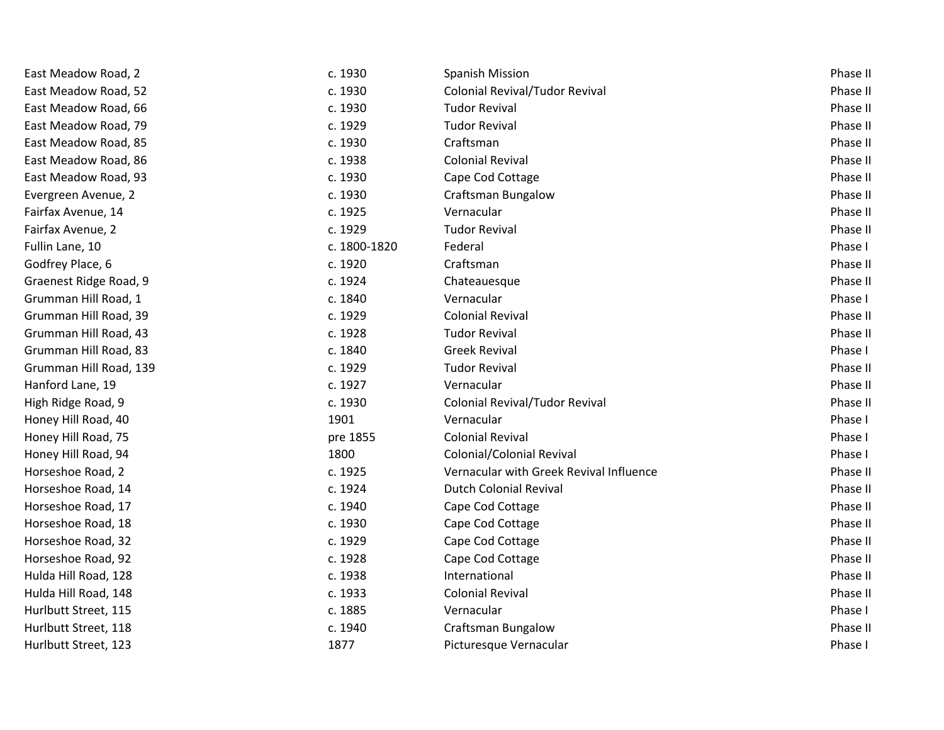| East Meadow Road, 2    | c. 1930      | <b>Spanish Mission</b>                  | Phase II |
|------------------------|--------------|-----------------------------------------|----------|
| East Meadow Road, 52   | c. 1930      | Colonial Revival/Tudor Revival          | Phase II |
| East Meadow Road, 66   | c. 1930      | <b>Tudor Revival</b>                    | Phase II |
| East Meadow Road, 79   | c. 1929      | <b>Tudor Revival</b>                    | Phase II |
| East Meadow Road, 85   | c. 1930      | Craftsman                               | Phase II |
| East Meadow Road, 86   | c. 1938      | <b>Colonial Revival</b>                 | Phase II |
| East Meadow Road, 93   | c. 1930      | Cape Cod Cottage                        | Phase II |
| Evergreen Avenue, 2    | c. 1930      | <b>Craftsman Bungalow</b>               | Phase II |
| Fairfax Avenue, 14     | c. 1925      | Vernacular                              | Phase II |
| Fairfax Avenue, 2      | c. 1929      | <b>Tudor Revival</b>                    | Phase II |
| Fullin Lane, 10        | c. 1800-1820 | Federal                                 | Phase I  |
| Godfrey Place, 6       | c. 1920      | Craftsman                               | Phase II |
| Graenest Ridge Road, 9 | c. 1924      | Chateauesque                            | Phase II |
| Grumman Hill Road, 1   | c. 1840      | Vernacular                              | Phase I  |
| Grumman Hill Road, 39  | c. 1929      | <b>Colonial Revival</b>                 | Phase II |
| Grumman Hill Road, 43  | c. 1928      | <b>Tudor Revival</b>                    | Phase II |
| Grumman Hill Road, 83  | c. 1840      | <b>Greek Revival</b>                    | Phase I  |
| Grumman Hill Road, 139 | c. 1929      | <b>Tudor Revival</b>                    | Phase II |
| Hanford Lane, 19       | c. 1927      | Vernacular                              | Phase II |
| High Ridge Road, 9     | c. 1930      | Colonial Revival/Tudor Revival          | Phase II |
| Honey Hill Road, 40    | 1901         | Vernacular                              | Phase I  |
| Honey Hill Road, 75    | pre 1855     | <b>Colonial Revival</b>                 | Phase I  |
| Honey Hill Road, 94    | 1800         | Colonial/Colonial Revival               | Phase I  |
| Horseshoe Road, 2      | c. 1925      | Vernacular with Greek Revival Influence | Phase II |
| Horseshoe Road, 14     | c. 1924      | <b>Dutch Colonial Revival</b>           | Phase II |
| Horseshoe Road, 17     | c. 1940      | Cape Cod Cottage                        | Phase II |
| Horseshoe Road, 18     | c. 1930      | Cape Cod Cottage                        | Phase II |
| Horseshoe Road, 32     | c. 1929      | Cape Cod Cottage                        | Phase II |
| Horseshoe Road, 92     | c. 1928      | Cape Cod Cottage                        | Phase II |
| Hulda Hill Road, 128   | c. 1938      | International                           | Phase II |
| Hulda Hill Road, 148   | c. 1933      | <b>Colonial Revival</b>                 | Phase II |
| Hurlbutt Street, 115   | c. 1885      | Vernacular                              | Phase I  |
| Hurlbutt Street, 118   | c. 1940      | <b>Craftsman Bungalow</b>               | Phase II |
| Hurlbutt Street, 123   | 1877         | Picturesque Vernacular                  | Phase I  |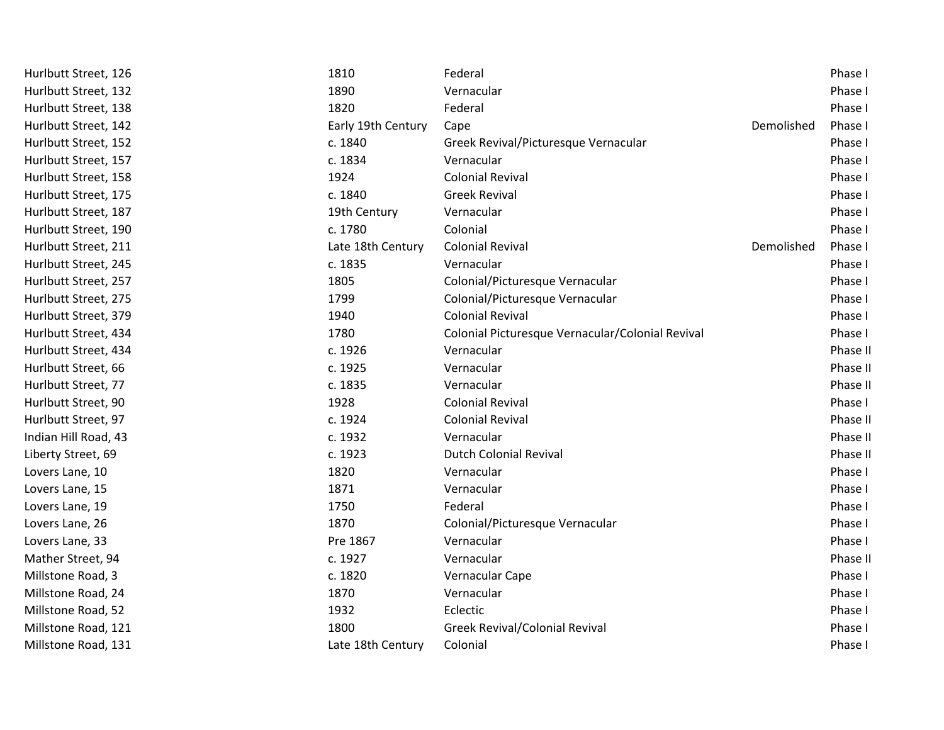| Hurlbutt Street, 126 | 1810               | Federal                                          |            | Phase I  |
|----------------------|--------------------|--------------------------------------------------|------------|----------|
| Hurlbutt Street, 132 | 1890               | Vernacular                                       |            | Phase I  |
| Hurlbutt Street, 138 | 1820               | Federal                                          |            | Phase I  |
| Hurlbutt Street, 142 | Early 19th Century | Cape                                             | Demolished | Phase I  |
| Hurlbutt Street, 152 | c. 1840            | Greek Revival/Picturesque Vernacular             |            | Phase I  |
| Hurlbutt Street, 157 | c. 1834            | Vernacular                                       |            | Phase I  |
| Hurlbutt Street, 158 | 1924               | <b>Colonial Revival</b>                          |            | Phase I  |
| Hurlbutt Street, 175 | c. 1840            | <b>Greek Revival</b>                             |            | Phase I  |
| Hurlbutt Street, 187 | 19th Century       | Vernacular                                       |            | Phase I  |
| Hurlbutt Street, 190 | c. 1780            | Colonial                                         |            | Phase I  |
| Hurlbutt Street, 211 | Late 18th Century  | <b>Colonial Revival</b>                          | Demolished | Phase I  |
| Hurlbutt Street, 245 | c. 1835            | Vernacular                                       |            | Phase I  |
| Hurlbutt Street, 257 | 1805               | Colonial/Picturesque Vernacular                  |            | Phase I  |
| Hurlbutt Street, 275 | 1799               | Colonial/Picturesque Vernacular                  |            | Phase I  |
| Hurlbutt Street, 379 | 1940               | <b>Colonial Revival</b>                          |            | Phase I  |
| Hurlbutt Street, 434 | 1780               | Colonial Picturesque Vernacular/Colonial Revival |            | Phase I  |
| Hurlbutt Street, 434 | c. 1926            | Vernacular                                       |            | Phase II |
| Hurlbutt Street, 66  | c. 1925            | Vernacular                                       |            | Phase II |
| Hurlbutt Street, 77  | c. 1835            | Vernacular                                       |            | Phase II |
| Hurlbutt Street, 90  | 1928               | <b>Colonial Revival</b>                          |            | Phase I  |
| Hurlbutt Street, 97  | c. 1924            | <b>Colonial Revival</b>                          |            | Phase II |
| Indian Hill Road, 43 | c. 1932            | Vernacular                                       |            | Phase II |
| Liberty Street, 69   | c. 1923            | <b>Dutch Colonial Revival</b>                    |            | Phase II |
| Lovers Lane, 10      | 1820               | Vernacular                                       |            | Phase I  |
| Lovers Lane, 15      | 1871               | Vernacular                                       |            | Phase I  |
| Lovers Lane, 19      | 1750               | Federal                                          |            | Phase I  |
| Lovers Lane, 26      | 1870               | Colonial/Picturesque Vernacular                  |            | Phase I  |
| Lovers Lane, 33      | Pre 1867           | Vernacular                                       |            | Phase I  |
| Mather Street, 94    | c. 1927            | Vernacular                                       |            | Phase II |
| Millstone Road, 3    | c. 1820            | Vernacular Cape                                  |            | Phase I  |
| Millstone Road, 24   | 1870               | Vernacular                                       |            | Phase I  |
| Millstone Road, 52   | 1932               | Eclectic                                         |            | Phase I  |
| Millstone Road, 121  | 1800               | <b>Greek Revival/Colonial Revival</b>            |            | Phase I  |
| Millstone Road, 131  | Late 18th Century  | Colonial                                         |            | Phase I  |
|                      |                    |                                                  |            |          |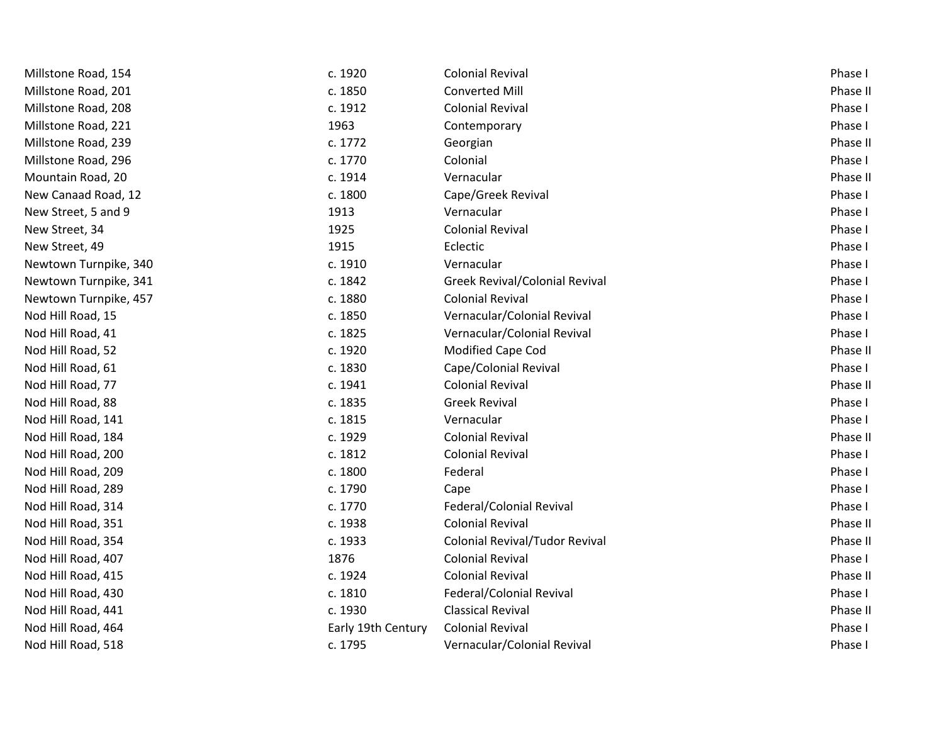| Millstone Road, 154   | c. 1920            | <b>Colonial Revival</b>               | Phase I  |
|-----------------------|--------------------|---------------------------------------|----------|
| Millstone Road, 201   | c. 1850            | <b>Converted Mill</b>                 | Phase II |
| Millstone Road, 208   | c. 1912            | <b>Colonial Revival</b>               | Phase I  |
| Millstone Road, 221   | 1963               | Contemporary                          | Phase I  |
| Millstone Road, 239   | c. 1772            | Georgian                              | Phase II |
| Millstone Road, 296   | c. 1770            | Colonial                              | Phase I  |
| Mountain Road, 20     | c. 1914            | Vernacular                            | Phase II |
| New Canaad Road, 12   | c. 1800            | Cape/Greek Revival                    | Phase I  |
| New Street, 5 and 9   | 1913               | Vernacular                            | Phase I  |
| New Street, 34        | 1925               | <b>Colonial Revival</b>               | Phase I  |
| New Street, 49        | 1915               | Eclectic                              | Phase I  |
| Newtown Turnpike, 340 | c. 1910            | Vernacular                            | Phase I  |
| Newtown Turnpike, 341 | c. 1842            | Greek Revival/Colonial Revival        | Phase I  |
| Newtown Turnpike, 457 | c. 1880            | <b>Colonial Revival</b>               | Phase I  |
| Nod Hill Road, 15     | c. 1850            | Vernacular/Colonial Revival           | Phase I  |
| Nod Hill Road, 41     | c. 1825            | Vernacular/Colonial Revival           | Phase I  |
| Nod Hill Road, 52     | c. 1920            | Modified Cape Cod                     | Phase II |
| Nod Hill Road, 61     | c. 1830            | Cape/Colonial Revival                 | Phase I  |
| Nod Hill Road, 77     | c. 1941            | <b>Colonial Revival</b>               | Phase II |
| Nod Hill Road, 88     | c. 1835            | <b>Greek Revival</b>                  | Phase I  |
| Nod Hill Road, 141    | c. 1815            | Vernacular                            | Phase I  |
| Nod Hill Road, 184    | c. 1929            | <b>Colonial Revival</b>               | Phase II |
| Nod Hill Road, 200    | c. 1812            | <b>Colonial Revival</b>               | Phase I  |
| Nod Hill Road, 209    | c. 1800            | Federal                               | Phase I  |
| Nod Hill Road, 289    | c. 1790            | Cape                                  | Phase I  |
| Nod Hill Road, 314    | c. 1770            | Federal/Colonial Revival              | Phase I  |
| Nod Hill Road, 351    | c. 1938            | <b>Colonial Revival</b>               | Phase II |
| Nod Hill Road, 354    | c. 1933            | <b>Colonial Revival/Tudor Revival</b> | Phase II |
| Nod Hill Road, 407    | 1876               | <b>Colonial Revival</b>               | Phase I  |
| Nod Hill Road, 415    | c. 1924            | <b>Colonial Revival</b>               | Phase II |
| Nod Hill Road, 430    | c. 1810            | Federal/Colonial Revival              | Phase I  |
| Nod Hill Road, 441    | c. 1930            | <b>Classical Revival</b>              | Phase II |
| Nod Hill Road, 464    | Early 19th Century | <b>Colonial Revival</b>               | Phase I  |
| Nod Hill Road, 518    | c. 1795            | Vernacular/Colonial Revival           | Phase I  |
|                       |                    |                                       |          |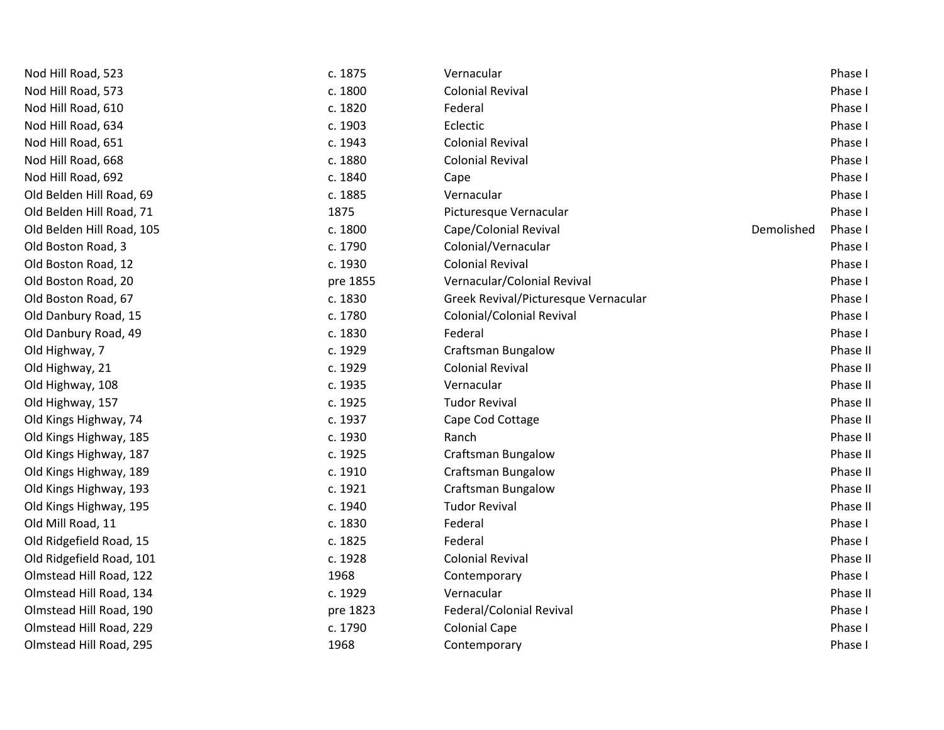| Nod Hill Road, 523        | c. 1875  | Vernacular                           |            | Phase I  |
|---------------------------|----------|--------------------------------------|------------|----------|
| Nod Hill Road, 573        | c. 1800  | <b>Colonial Revival</b>              |            | Phase I  |
| Nod Hill Road, 610        | c. 1820  | Federal                              |            | Phase I  |
| Nod Hill Road, 634        | c. 1903  | Eclectic                             |            | Phase I  |
| Nod Hill Road, 651        | c. 1943  | <b>Colonial Revival</b>              |            | Phase I  |
| Nod Hill Road, 668        | c. 1880  | <b>Colonial Revival</b>              |            | Phase I  |
| Nod Hill Road, 692        | c. 1840  | Cape                                 |            | Phase I  |
| Old Belden Hill Road, 69  | c. 1885  | Vernacular                           |            | Phase I  |
| Old Belden Hill Road, 71  | 1875     | Picturesque Vernacular               |            | Phase I  |
| Old Belden Hill Road, 105 | c. 1800  | Cape/Colonial Revival                | Demolished | Phase I  |
| Old Boston Road, 3        | c. 1790  | Colonial/Vernacular                  |            | Phase I  |
| Old Boston Road, 12       | c. 1930  | <b>Colonial Revival</b>              |            | Phase I  |
| Old Boston Road, 20       | pre 1855 | Vernacular/Colonial Revival          |            | Phase I  |
| Old Boston Road, 67       | c. 1830  | Greek Revival/Picturesque Vernacular |            | Phase I  |
| Old Danbury Road, 15      | c. 1780  | <b>Colonial/Colonial Revival</b>     |            | Phase I  |
| Old Danbury Road, 49      | c. 1830  | Federal                              |            | Phase I  |
| Old Highway, 7            | c. 1929  | <b>Craftsman Bungalow</b>            |            | Phase II |
| Old Highway, 21           | c. 1929  | <b>Colonial Revival</b>              |            | Phase II |
| Old Highway, 108          | c. 1935  | Vernacular                           |            | Phase II |
| Old Highway, 157          | c. 1925  | <b>Tudor Revival</b>                 |            | Phase II |
| Old Kings Highway, 74     | c. 1937  | Cape Cod Cottage                     |            | Phase II |
| Old Kings Highway, 185    | c. 1930  | Ranch                                |            | Phase II |
| Old Kings Highway, 187    | c. 1925  | <b>Craftsman Bungalow</b>            |            | Phase II |
| Old Kings Highway, 189    | c. 1910  | <b>Craftsman Bungalow</b>            |            | Phase II |
| Old Kings Highway, 193    | c. 1921  | <b>Craftsman Bungalow</b>            |            | Phase II |
| Old Kings Highway, 195    | c. 1940  | <b>Tudor Revival</b>                 |            | Phase II |
| Old Mill Road, 11         | c. 1830  | Federal                              |            | Phase I  |
| Old Ridgefield Road, 15   | c. 1825  | Federal                              |            | Phase I  |
| Old Ridgefield Road, 101  | c. 1928  | <b>Colonial Revival</b>              |            | Phase II |
| Olmstead Hill Road, 122   | 1968     | Contemporary                         |            | Phase I  |
| Olmstead Hill Road, 134   | c. 1929  | Vernacular                           |            | Phase II |
| Olmstead Hill Road, 190   | pre 1823 | Federal/Colonial Revival             |            | Phase I  |
| Olmstead Hill Road, 229   | c. 1790  | <b>Colonial Cape</b>                 |            | Phase I  |
| Olmstead Hill Road, 295   | 1968     | Contemporary                         |            | Phase I  |
|                           |          |                                      |            |          |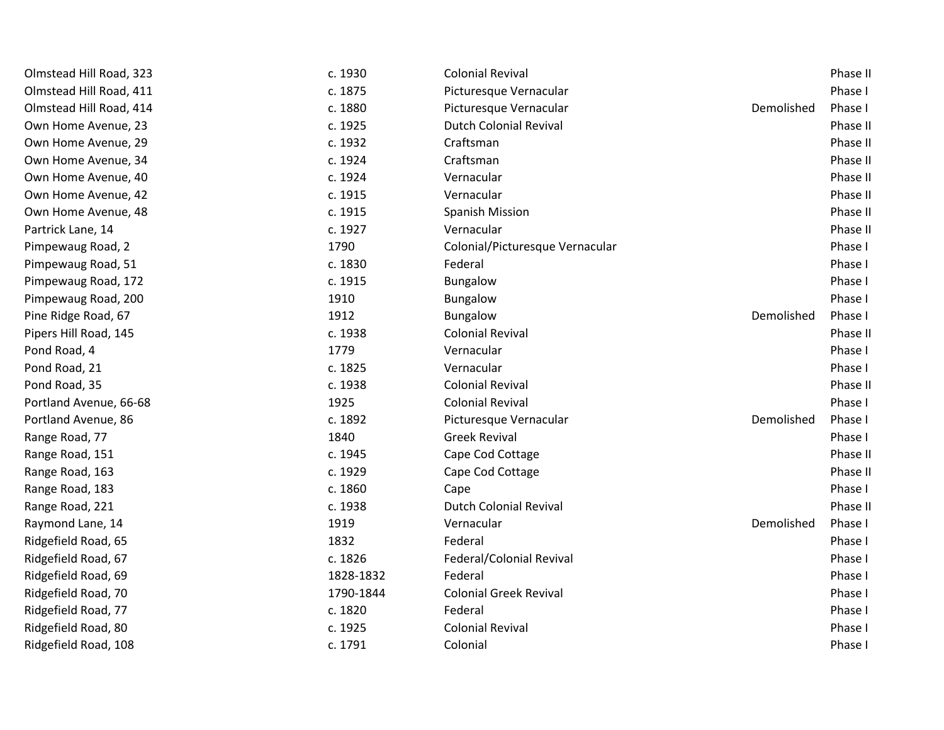| Olmstead Hill Road, 323 | c. 1930   | <b>Colonial Revival</b>         |            | Phase II |
|-------------------------|-----------|---------------------------------|------------|----------|
| Olmstead Hill Road, 411 | c. 1875   | Picturesque Vernacular          |            | Phase I  |
| Olmstead Hill Road, 414 | c. 1880   | Picturesque Vernacular          | Demolished | Phase I  |
| Own Home Avenue, 23     | c. 1925   | <b>Dutch Colonial Revival</b>   |            | Phase II |
| Own Home Avenue, 29     | c. 1932   | Craftsman                       |            | Phase II |
| Own Home Avenue, 34     | c. 1924   | Craftsman                       |            | Phase II |
| Own Home Avenue, 40     | c. 1924   | Vernacular                      |            | Phase II |
| Own Home Avenue, 42     | c. 1915   | Vernacular                      |            | Phase II |
| Own Home Avenue, 48     | c. 1915   | <b>Spanish Mission</b>          |            | Phase II |
| Partrick Lane, 14       | c. 1927   | Vernacular                      |            | Phase II |
| Pimpewaug Road, 2       | 1790      | Colonial/Picturesque Vernacular |            | Phase I  |
| Pimpewaug Road, 51      | c. 1830   | Federal                         |            | Phase I  |
| Pimpewaug Road, 172     | c. 1915   | Bungalow                        |            | Phase I  |
| Pimpewaug Road, 200     | 1910      | Bungalow                        |            | Phase I  |
| Pine Ridge Road, 67     | 1912      | Bungalow                        | Demolished | Phase I  |
| Pipers Hill Road, 145   | c. 1938   | <b>Colonial Revival</b>         |            | Phase II |
| Pond Road, 4            | 1779      | Vernacular                      |            | Phase I  |
| Pond Road, 21           | c. 1825   | Vernacular                      |            | Phase I  |
| Pond Road, 35           | c. 1938   | <b>Colonial Revival</b>         |            | Phase II |
| Portland Avenue, 66-68  | 1925      | <b>Colonial Revival</b>         |            | Phase I  |
| Portland Avenue, 86     | c. 1892   | Picturesque Vernacular          | Demolished | Phase I  |
| Range Road, 77          | 1840      | <b>Greek Revival</b>            |            | Phase I  |
| Range Road, 151         | c. 1945   | Cape Cod Cottage                |            | Phase II |
| Range Road, 163         | c. 1929   | Cape Cod Cottage                |            | Phase II |
| Range Road, 183         | c. 1860   | Cape                            |            | Phase I  |
| Range Road, 221         | c. 1938   | <b>Dutch Colonial Revival</b>   |            | Phase II |
| Raymond Lane, 14        | 1919      | Vernacular                      | Demolished | Phase I  |
| Ridgefield Road, 65     | 1832      | Federal                         |            | Phase I  |
| Ridgefield Road, 67     | c. 1826   | Federal/Colonial Revival        |            | Phase I  |
| Ridgefield Road, 69     | 1828-1832 | Federal                         |            | Phase I  |
| Ridgefield Road, 70     | 1790-1844 | <b>Colonial Greek Revival</b>   |            | Phase I  |
| Ridgefield Road, 77     | c. 1820   | Federal                         |            | Phase I  |
| Ridgefield Road, 80     | c. 1925   | <b>Colonial Revival</b>         |            | Phase I  |
| Ridgefield Road, 108    | c. 1791   | Colonial                        |            | Phase I  |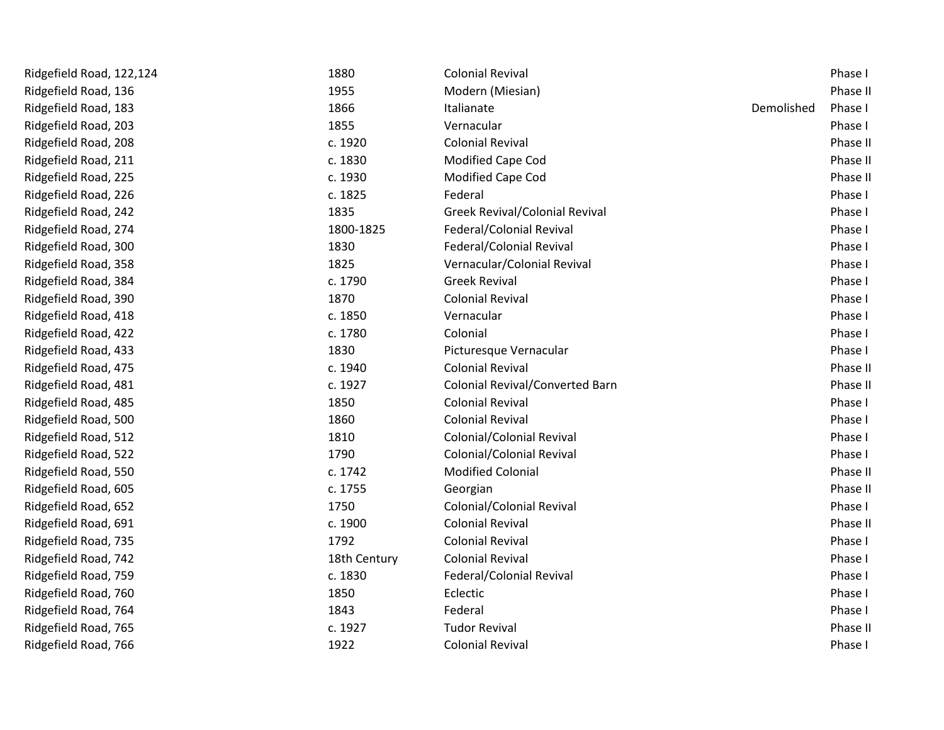| Ridgefield Road, 122,124 | 1880         | <b>Colonial Revival</b>                |            | Phase I  |
|--------------------------|--------------|----------------------------------------|------------|----------|
| Ridgefield Road, 136     | 1955         | Modern (Miesian)                       |            | Phase II |
| Ridgefield Road, 183     | 1866         | Italianate                             | Demolished | Phase I  |
| Ridgefield Road, 203     | 1855         | Vernacular                             |            | Phase I  |
| Ridgefield Road, 208     | c. 1920      | <b>Colonial Revival</b>                |            | Phase II |
| Ridgefield Road, 211     | c. 1830      | Modified Cape Cod                      |            | Phase II |
| Ridgefield Road, 225     | c. 1930      | Modified Cape Cod                      |            | Phase II |
| Ridgefield Road, 226     | c. 1825      | Federal                                |            | Phase I  |
| Ridgefield Road, 242     | 1835         | Greek Revival/Colonial Revival         |            | Phase I  |
| Ridgefield Road, 274     | 1800-1825    | Federal/Colonial Revival               |            | Phase I  |
| Ridgefield Road, 300     | 1830         | Federal/Colonial Revival               |            | Phase I  |
| Ridgefield Road, 358     | 1825         | Vernacular/Colonial Revival            |            | Phase I  |
| Ridgefield Road, 384     | c. 1790      | <b>Greek Revival</b>                   |            | Phase I  |
| Ridgefield Road, 390     | 1870         | <b>Colonial Revival</b>                |            | Phase I  |
| Ridgefield Road, 418     | c. 1850      | Vernacular                             |            | Phase I  |
| Ridgefield Road, 422     | c. 1780      | Colonial                               |            | Phase I  |
| Ridgefield Road, 433     | 1830         | Picturesque Vernacular                 |            | Phase I  |
| Ridgefield Road, 475     | c. 1940      | <b>Colonial Revival</b>                |            | Phase II |
| Ridgefield Road, 481     | c. 1927      | <b>Colonial Revival/Converted Barn</b> |            | Phase II |
| Ridgefield Road, 485     | 1850         | <b>Colonial Revival</b>                |            | Phase I  |
| Ridgefield Road, 500     | 1860         | <b>Colonial Revival</b>                |            | Phase I  |
| Ridgefield Road, 512     | 1810         | Colonial/Colonial Revival              |            | Phase I  |
| Ridgefield Road, 522     | 1790         | Colonial/Colonial Revival              |            | Phase I  |
| Ridgefield Road, 550     | c. 1742      | <b>Modified Colonial</b>               |            | Phase II |
| Ridgefield Road, 605     | c. 1755      | Georgian                               |            | Phase II |
| Ridgefield Road, 652     | 1750         | <b>Colonial/Colonial Revival</b>       |            | Phase I  |
| Ridgefield Road, 691     | c. 1900      | <b>Colonial Revival</b>                |            | Phase II |
| Ridgefield Road, 735     | 1792         | <b>Colonial Revival</b>                |            | Phase I  |
| Ridgefield Road, 742     | 18th Century | <b>Colonial Revival</b>                |            | Phase I  |
| Ridgefield Road, 759     | c. 1830      | Federal/Colonial Revival               |            | Phase I  |
| Ridgefield Road, 760     | 1850         | Eclectic                               |            | Phase I  |
| Ridgefield Road, 764     | 1843         | Federal                                |            | Phase I  |
| Ridgefield Road, 765     | c. 1927      | <b>Tudor Revival</b>                   |            | Phase II |
| Ridgefield Road, 766     | 1922         | <b>Colonial Revival</b>                |            | Phase I  |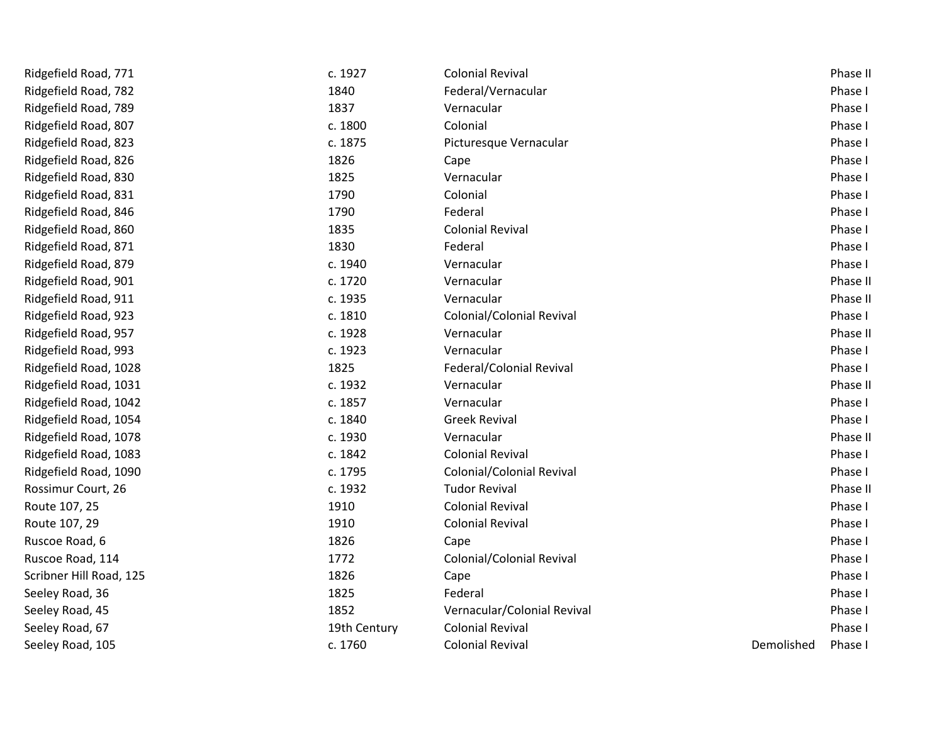| Ridgefield Road, 771    | c. 1927      | <b>Colonial Revival</b>     |            | Phase II |
|-------------------------|--------------|-----------------------------|------------|----------|
| Ridgefield Road, 782    | 1840         | Federal/Vernacular          |            | Phase I  |
| Ridgefield Road, 789    | 1837         | Vernacular                  |            | Phase I  |
| Ridgefield Road, 807    | c. 1800      | Colonial                    |            | Phase I  |
| Ridgefield Road, 823    | c. 1875      | Picturesque Vernacular      |            | Phase I  |
| Ridgefield Road, 826    | 1826         | Cape                        |            | Phase I  |
| Ridgefield Road, 830    | 1825         | Vernacular                  |            | Phase I  |
| Ridgefield Road, 831    | 1790         | Colonial                    |            | Phase I  |
| Ridgefield Road, 846    | 1790         | Federal                     |            | Phase I  |
| Ridgefield Road, 860    | 1835         | <b>Colonial Revival</b>     |            | Phase I  |
| Ridgefield Road, 871    | 1830         | Federal                     |            | Phase I  |
| Ridgefield Road, 879    | c. 1940      | Vernacular                  |            | Phase I  |
| Ridgefield Road, 901    | c. 1720      | Vernacular                  |            | Phase II |
| Ridgefield Road, 911    | c. 1935      | Vernacular                  |            | Phase II |
| Ridgefield Road, 923    | c. 1810      | Colonial/Colonial Revival   |            | Phase I  |
| Ridgefield Road, 957    | c. 1928      | Vernacular                  |            | Phase II |
| Ridgefield Road, 993    | c. 1923      | Vernacular                  |            | Phase I  |
| Ridgefield Road, 1028   | 1825         | Federal/Colonial Revival    |            | Phase I  |
| Ridgefield Road, 1031   | c. 1932      | Vernacular                  |            | Phase II |
| Ridgefield Road, 1042   | c. 1857      | Vernacular                  |            | Phase I  |
| Ridgefield Road, 1054   | c. 1840      | <b>Greek Revival</b>        |            | Phase I  |
| Ridgefield Road, 1078   | c. 1930      | Vernacular                  |            | Phase II |
| Ridgefield Road, 1083   | c. 1842      | <b>Colonial Revival</b>     |            | Phase I  |
| Ridgefield Road, 1090   | c. 1795      | Colonial/Colonial Revival   |            | Phase I  |
| Rossimur Court, 26      | c. 1932      | <b>Tudor Revival</b>        |            | Phase II |
| Route 107, 25           | 1910         | <b>Colonial Revival</b>     |            | Phase I  |
| Route 107, 29           | 1910         | <b>Colonial Revival</b>     |            | Phase I  |
| Ruscoe Road, 6          | 1826         | Cape                        |            | Phase I  |
| Ruscoe Road, 114        | 1772         | Colonial/Colonial Revival   |            | Phase I  |
| Scribner Hill Road, 125 | 1826         | Cape                        |            | Phase I  |
| Seeley Road, 36         | 1825         | Federal                     |            | Phase I  |
| Seeley Road, 45         | 1852         | Vernacular/Colonial Revival |            | Phase I  |
| Seeley Road, 67         | 19th Century | <b>Colonial Revival</b>     |            | Phase I  |
| Seeley Road, 105        | c. 1760      | <b>Colonial Revival</b>     | Demolished | Phase I  |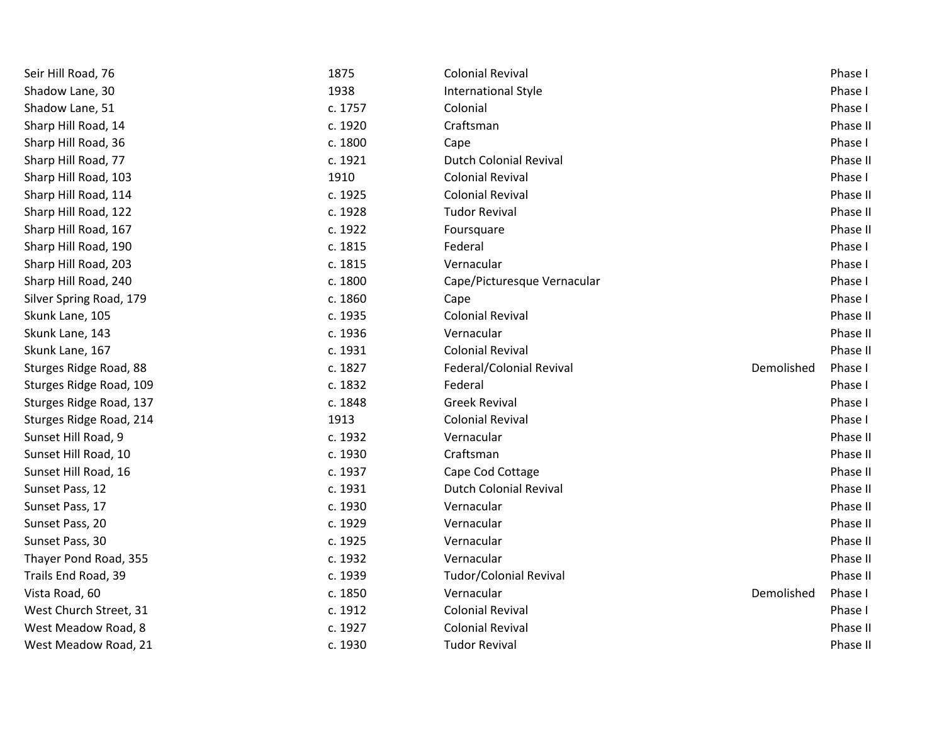| Seir Hill Road, 76      | 1875    | <b>Colonial Revival</b>       |            | Phase I  |
|-------------------------|---------|-------------------------------|------------|----------|
| Shadow Lane, 30         | 1938    | International Style           |            | Phase I  |
| Shadow Lane, 51         | c. 1757 | Colonial                      |            | Phase I  |
| Sharp Hill Road, 14     | c. 1920 | Craftsman                     |            | Phase II |
| Sharp Hill Road, 36     | c. 1800 | Cape                          |            | Phase I  |
| Sharp Hill Road, 77     | c. 1921 | <b>Dutch Colonial Revival</b> |            | Phase II |
| Sharp Hill Road, 103    | 1910    | <b>Colonial Revival</b>       |            | Phase I  |
| Sharp Hill Road, 114    | c. 1925 | <b>Colonial Revival</b>       |            | Phase II |
| Sharp Hill Road, 122    | c. 1928 | <b>Tudor Revival</b>          |            | Phase II |
| Sharp Hill Road, 167    | c. 1922 | Foursquare                    |            | Phase II |
| Sharp Hill Road, 190    | c. 1815 | Federal                       |            | Phase I  |
| Sharp Hill Road, 203    | c. 1815 | Vernacular                    |            | Phase I  |
| Sharp Hill Road, 240    | c. 1800 | Cape/Picturesque Vernacular   |            | Phase I  |
| Silver Spring Road, 179 | c. 1860 | Cape                          |            | Phase I  |
| Skunk Lane, 105         | c. 1935 | <b>Colonial Revival</b>       |            | Phase II |
| Skunk Lane, 143         | c. 1936 | Vernacular                    |            | Phase II |
| Skunk Lane, 167         | c. 1931 | <b>Colonial Revival</b>       |            | Phase II |
| Sturges Ridge Road, 88  | c. 1827 | Federal/Colonial Revival      | Demolished | Phase I  |
| Sturges Ridge Road, 109 | c. 1832 | Federal                       |            | Phase I  |
| Sturges Ridge Road, 137 | c. 1848 | <b>Greek Revival</b>          |            | Phase I  |
| Sturges Ridge Road, 214 | 1913    | <b>Colonial Revival</b>       |            | Phase I  |
| Sunset Hill Road, 9     | c. 1932 | Vernacular                    |            | Phase II |
| Sunset Hill Road, 10    | c. 1930 | Craftsman                     |            | Phase II |
| Sunset Hill Road, 16    | c. 1937 | Cape Cod Cottage              |            | Phase II |
| Sunset Pass, 12         | c. 1931 | <b>Dutch Colonial Revival</b> |            | Phase II |
| Sunset Pass, 17         | c. 1930 | Vernacular                    |            | Phase II |
| Sunset Pass, 20         | c. 1929 | Vernacular                    |            | Phase II |
| Sunset Pass, 30         | c. 1925 | Vernacular                    |            | Phase II |
| Thayer Pond Road, 355   | c. 1932 | Vernacular                    |            | Phase II |
| Trails End Road, 39     | c. 1939 | <b>Tudor/Colonial Revival</b> |            | Phase II |
| Vista Road, 60          | c. 1850 | Vernacular                    | Demolished | Phase I  |
| West Church Street, 31  | c. 1912 | <b>Colonial Revival</b>       |            | Phase I  |
| West Meadow Road, 8     | c. 1927 | <b>Colonial Revival</b>       |            | Phase II |
| West Meadow Road, 21    | c. 1930 | <b>Tudor Revival</b>          |            | Phase II |